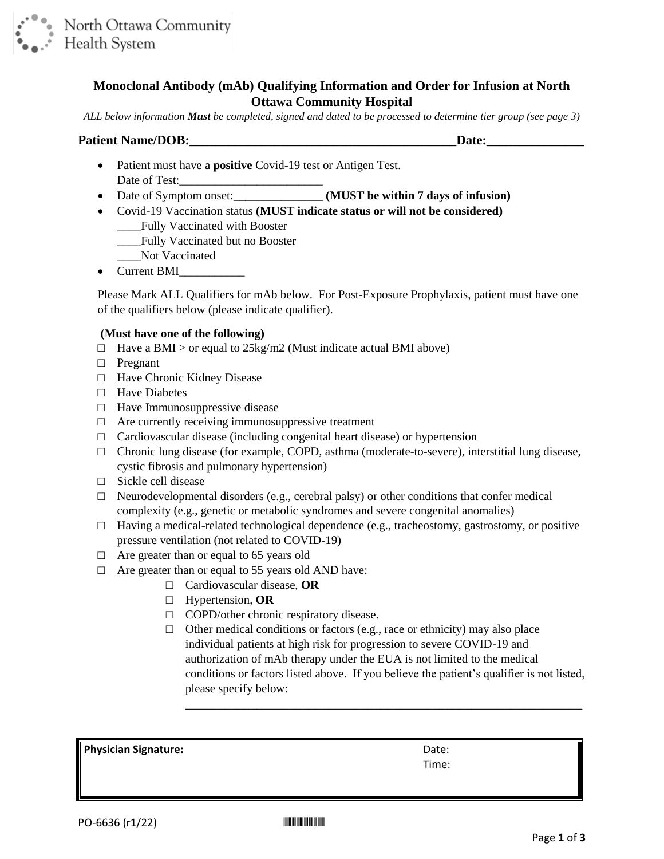

## **Monoclonal Antibody (mAb) Qualifying Information and Order for Infusion at North Ottawa Community Hospital**

*ALL below information Must be completed, signed and dated to be processed to determine tier group (see page 3)*

#### **Patient Name/DOB:\_\_\_\_\_\_\_\_\_\_\_\_\_\_\_\_\_\_\_\_\_\_\_\_\_\_\_\_\_\_\_\_\_\_\_\_\_\_\_\_\_Date:\_\_\_\_\_\_\_\_\_\_\_\_\_\_\_**

- Patient must have a **positive** Covid-19 test or Antigen Test. Date of Test:
- Date of Symptom onset:\_\_\_\_\_\_\_\_\_\_\_\_\_\_\_ **(MUST be within 7 days of infusion)**
- Covid-19 Vaccination status **(MUST indicate status or will not be considered)** \_\_\_\_Fully Vaccinated with Booster
	- \_\_\_\_Fully Vaccinated but no Booster
	- Not Vaccinated
- Current BMI

Please Mark ALL Qualifiers for mAb below. For Post-Exposure Prophylaxis, patient must have one of the qualifiers below (please indicate qualifier).

#### **(Must have one of the following)**

- $\Box$  Have a BMI > or equal to 25kg/m2 (Must indicate actual BMI above)
- □ Pregnant
- □ Have Chronic Kidney Disease
- □ Have Diabetes
- $\Box$  Have Immunosuppressive disease
- $\Box$  Are currently receiving immunosuppressive treatment
- $\Box$  Cardiovascular disease (including congenital heart disease) or hypertension
- $\Box$  Chronic lung disease (for example, COPD, asthma (moderate-to-severe), interstitial lung disease, cystic fibrosis and pulmonary hypertension)
- □ Sickle cell disease
- $\Box$  Neurodevelopmental disorders (e.g., cerebral palsy) or other conditions that confer medical complexity (e.g., genetic or metabolic syndromes and severe congenital anomalies)
- $\Box$  Having a medical-related technological dependence (e.g., tracheostomy, gastrostomy, or positive pressure ventilation (not related to COVID-19)
- $\Box$  Are greater than or equal to 65 years old
- $\Box$  Are greater than or equal to 55 years old AND have:
	- □ Cardiovascular disease, **OR**
	- □ Hypertension, **OR**
	- □ COPD/other chronic respiratory disease.
	- $\Box$  Other medical conditions or factors (e.g., race or ethnicity) may also place individual patients at high risk for progression to severe COVID-19 and authorization of mAb therapy under the EUA is not limited to the medical conditions or factors listed above. If you believe the patient's qualifier is not listed, please specify below:

\_\_\_\_\_\_\_\_\_\_\_\_\_\_\_\_\_\_\_\_\_\_\_\_\_\_\_\_\_\_\_\_\_\_\_\_\_\_\_\_\_\_\_\_\_\_\_\_\_\_\_\_\_\_\_\_\_\_\_\_\_

**Physician Signature:**  $D$ 

Time: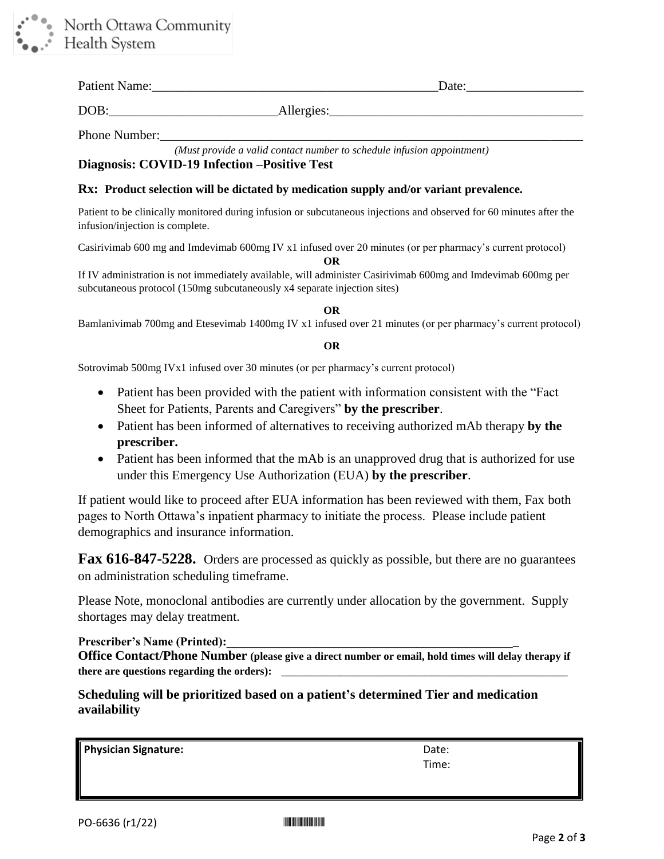

| <b>Patient Name</b><br>$\sim$ $\sim$ $\sim$ $\sim$<br>$\sim$ uu | ы |
|-----------------------------------------------------------------|---|
|                                                                 |   |

DOB: Allergies:

Phone Number:

*(Must provide a valid contact number to schedule infusion appointment)*

# **Diagnosis: COVID-19 Infection –Positive Test**

#### **Rx: Product selection will be dictated by medication supply and/or variant prevalence.**

Patient to be clinically monitored during infusion or subcutaneous injections and observed for 60 minutes after the infusion/injection is complete.

Casirivimab 600 mg and Imdevimab 600mg IV x1 infused over 20 minutes (or per pharmacy's current protocol)

**OR**

If IV administration is not immediately available, will administer Casirivimab 600mg and Imdevimab 600mg per subcutaneous protocol (150mg subcutaneously x4 separate injection sites)

**OR**

Bamlanivimab 700mg and Etesevimab 1400mg IV x1 infused over 21 minutes (or per pharmacy's current protocol)

#### **OR**

Sotrovimab 500mg IVx1 infused over 30 minutes (or per pharmacy's current protocol)

- Patient has been provided with the patient with information consistent with the "Fact" Sheet for Patients, Parents and Caregivers" **by the prescriber**.
- Patient has been informed of alternatives to receiving authorized mAb therapy **by the prescriber.**
- Patient has been informed that the mAb is an unapproved drug that is authorized for use under this Emergency Use Authorization (EUA) **by the prescriber**.

If patient would like to proceed after EUA information has been reviewed with them, Fax both pages to North Ottawa's inpatient pharmacy to initiate the process. Please include patient demographics and insurance information.

**Fax 616-847-5228.** Orders are processed as quickly as possible, but there are no guarantees on administration scheduling timeframe.

Please Note, monoclonal antibodies are currently under allocation by the government. Supply shortages may delay treatment.

### Prescriber's Name (Printed):

**Office Contact/Phone Number (please give a direct number or email, hold times will delay therapy if there are questions regarding the orders):** \_\_\_\_\_\_\_\_\_\_\_\_\_\_\_\_\_\_\_\_\_\_\_\_\_\_\_\_\_\_\_\_\_\_\_\_\_\_\_\_\_\_\_\_

**Scheduling will be prioritized based on a patient's determined Tier and medication availability**

**Physician Signature:**  $Date:$ 

Time: